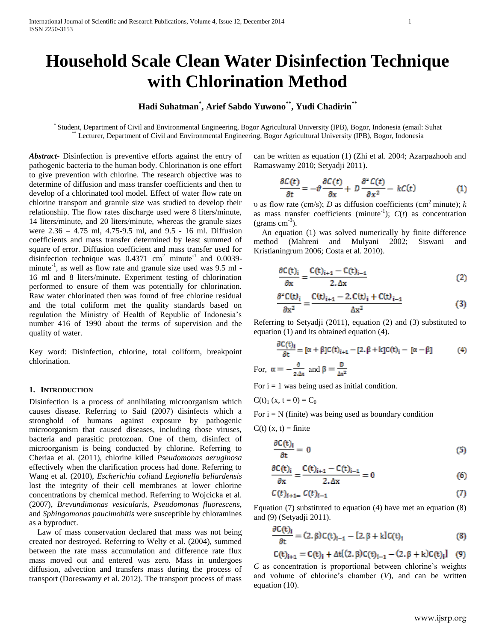# **Household Scale Clean Water Disinfection Technique with Chlorination Method**

## **Hadi Suhatman\* , Arief Sabdo Yuwono\*\*, Yudi Chadirin\*\***

\* Student, Department of Civil and Environmental Engineering, Bogor Agricultural University (IPB), Bogor, Indonesia (email: Suhat Lecturer, Department of Civil and Environmental Engineering, Bogor Agricultural University (IPB), Bogor, Indonesia

*Abstract***-** Disinfection is preventive efforts against the entry of pathogenic bacteria to the human body. Chlorination is one effort to give prevention with chlorine. The research objective was to determine of diffusion and mass transfer coefficients and then to develop of a chlorinated tool model. Effect of water flow rate on chlorine transport and granule size was studied to develop their relationship. The flow rates discharge used were 8 liters/minute, 14 liters/minute, and 20 liters/minute, whereas the granule sizes were 2.36 – 4.75 ml, 4.75-9.5 ml, and 9.5 - 16 ml. Diffusion coefficients and mass transfer determined by least summed of square of error. Diffusion coefficient and mass transfer used for disinfection technique was  $0.4371$  cm<sup>2</sup> minute<sup>-1</sup> and  $0.0039$ minute<sup>-1</sup>, as well as flow rate and granule size used was  $9.5$  ml -16 ml and 8 liters/minute. Experiment testing of chlorination performed to ensure of them was potentially for chlorination. Raw water chlorinated then was found of free chlorine residual and the total coliform met the quality standards based on regulation the Ministry of Health of Republic of Indonesia's number 416 of 1990 about the terms of supervision and the quality of water.

Key word: Disinfection, chlorine, total coliform, breakpoint chlorination.

## **1. INTRODUCTION**

Disinfection is a process of annihilating microorganism which causes disease. Referring to Said (2007) disinfects which a stronghold of humans against exposure by pathogenic microorganism that caused diseases, including those viruses, bacteria and parasitic protozoan. One of them, disinfect of microorganism is being conducted by chlorine. Referring to Cheriaa et al. (2011), chlorine killed *Pseudomonas aeruginosa* effectively when the clarification process had done. Referring to Wang et al. (2010), *Escherichia coli*and *Legionella beliardensis* lost the integrity of their cell membranes at lower chlorine concentrations by chemical method. Referring to Wojcicka et al. (2007), *Brevundimonas vesicularis, Pseudomonas fluorescens,* and *Sphingomonas paucimobitis* were susceptible by chloramines as a byproduct.

 Law of mass conservation declared that mass was not being created nor destroyed. Referring to Welty et al. (2004), summed between the rate mass accumulation and difference rate flux mass moved out and entered was zero. Mass in undergoes diffusion, advection and transfers mass during the process of transport (Doreswamy et al. 2012). The transport process of mass

can be written as equation (1) (Zhi et al. 2004; Azarpazhooh and Ramaswamy 2010; Setyadji 2011).

$$
\frac{\partial C(t)}{\partial t} = -\vartheta \frac{\partial C(t)}{\partial x} + D \frac{\partial^2 C(t)}{\partial x^2} - kC(t) \tag{1}
$$

υ as flow rate (cm/s); *D* as diffusion coefficients (cm<sup>2</sup> minute); *k* as mass transfer coefficients (minute<sup>-1</sup>);  $C(t)$  as concentration (grams  $cm^{-3}$ ).

 An equation (1) was solved numerically by finite difference method (Mahreni and Mulyani 2002; Siswani and Kristianingrum 2006; Costa et al. 2010).

$$
\frac{\partial C(t)_i}{\partial x} = \frac{C(t)_{i+1} - C(t)_{i-1}}{2. \Delta x}
$$
 (2)

$$
\frac{\partial^2 C(t)_i}{\partial x^2} = \frac{C(t)_{i+1} - 2. C(t)_i + C(t)_{i-1}}{\Delta x^2}
$$
(3)

Referring to Setyadji (2011), equation (2) and (3) substituted to equation (1) and its obtained equation (4).

$$
\frac{\partial C(t)_i}{\partial t} = [\alpha + \beta]C(t)_{i+1} - [2, \beta + k]C(t)_i - [\alpha - \beta]
$$
(4)

For,  $\alpha = -\frac{v}{2 \Delta x}$  and  $\beta = \frac{v}{\Delta x^2}$ 

For  $i = 1$  was being used as initial condition.

$$
C(t)
$$
<sub>1</sub>  $(x, t = 0) = C_0$ 

For  $i = N$  (finite) was being used as boundary condition

 $C(t)$  (x, t) = finite

$$
\frac{\partial C(t)_i}{\partial t} = 0 \tag{5}
$$

$$
\frac{\partial C(t)_i}{\partial x} = \frac{C(t)_{i+1} - C(t)_{i-1}}{2 \Delta x} = 0
$$
 (6)

$$
C(t)_{i+1} = C(t)_{i-1} \tag{7}
$$

Equation (7) substituted to equation (4) have met an equation (8) and (9) (Setyadji 2011).

$$
\frac{\partial C(t)_i}{\partial t} = (2, \beta)C(t)_{i-1} - [2, \beta + k]C(t)_i
$$
\n(8)

$$
C(t)_{i+1} = C(t)_i + \Delta t[(2, \beta)C(t)_{i-1} - (2, \beta + k)C(t)_i]
$$
 (9)

*C* as concentration is proportional between chlorine's weights and volume of chlorine's chamber (*V*), and can be written equation (10).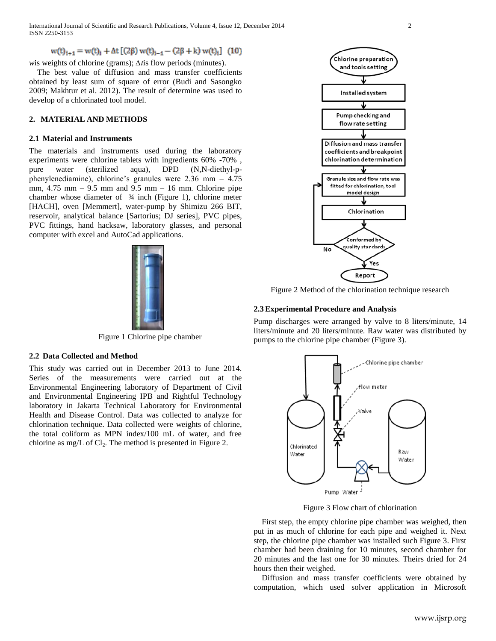International Journal of Scientific and Research Publications, Volume 4, Issue 12, December 2014 2 ISSN 2250-3153

 $w(t)_{i+1} = w(t)_{i} + \Delta t [(2\beta) w(t)_{i-1} - (2\beta + k) w(t)_{i}]$  (10)

*w*is weights of chlorine (grams);  $\Delta t$  is flow periods (minutes).

 The best value of diffusion and mass transfer coefficients obtained by least sum of square of error (Budi and Sasongko 2009; Makhtur et al. 2012). The result of determine was used to develop of a chlorinated tool model.

## **2. MATERIAL AND METHODS**

#### **2.1 Material and Instruments**

The materials and instruments used during the laboratory experiments were chlorine tablets with ingredients 60% -70% , pure water (sterilized aqua), DPD (N,N-diethyl-pphenylenediamine), chlorine's granules were 2.36 mm – 4.75 mm, 4.75 mm – 9.5 mm and 9.5 mm – 16 mm. Chlorine pipe chamber whose diameter of ¾ inch (Figure 1), chlorine meter [HACH], oven [Memmert], water-pump by Shimizu 266 BIT, reservoir, analytical balance [Sartorius; DJ series], PVC pipes, PVC fittings, hand hacksaw, laboratory glasses, and personal computer with excel and AutoCad applications.



Figure 1 Chlorine pipe chamber

## **2.2 Data Collected and Method**

This study was carried out in December 2013 to June 2014. Series of the measurements were carried out at the Environmental Engineering laboratory of Department of Civil and Environmental Engineering IPB and Rightful Technology laboratory in Jakarta Technical Laboratory for Environmental Health and Disease Control. Data was collected to analyze for chlorination technique. Data collected were weights of chlorine, the total coliform as MPN index/100 mL of water, and free chlorine as mg/L of  $Cl_2$ . The method is presented in Figure 2.



Figure 2 Method of the chlorination technique research

#### **2.3Experimental Procedure and Analysis**

Pump discharges were arranged by valve to 8 liters/minute, 14 liters/minute and 20 liters/minute. Raw water was distributed by pumps to the chlorine pipe chamber (Figure 3).



Figure 3 Flow chart of chlorination

 First step, the empty chlorine pipe chamber was weighed, then put in as much of chlorine for each pipe and weighed it. Next step, the chlorine pipe chamber was installed such Figure 3. First chamber had been draining for 10 minutes, second chamber for 20 minutes and the last one for 30 minutes. Theirs dried for 24 hours then their weighed.

 Diffusion and mass transfer coefficients were obtained by computation, which used solver application in Microsoft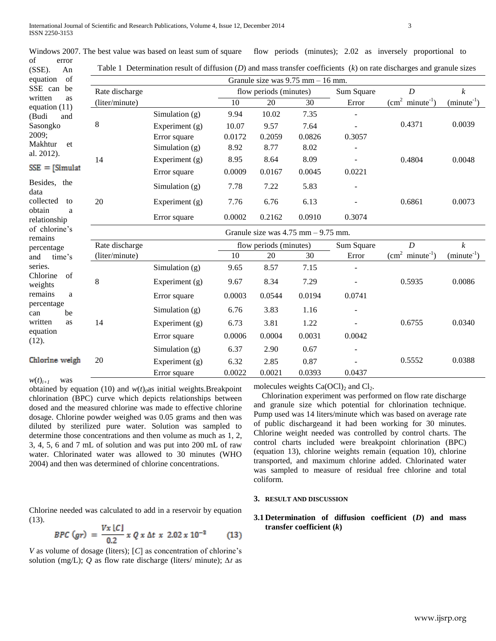Windows 2007. The best value was based on least sum of square

flow periods (minutes); 2.02 as inversely proportional to

| of<br>error<br>$(SSE)$ .<br>An   |                                      | Table 1 Determination result of diffusion $(D)$ and mass transfer coefficients $(k)$ on rate discharges and granule sizes |                        |                        |                 |            |                  |                  |
|----------------------------------|--------------------------------------|---------------------------------------------------------------------------------------------------------------------------|------------------------|------------------------|-----------------|------------|------------------|------------------|
| of<br>equation                   | Granule size was $9.75$ mm $-16$ mm. |                                                                                                                           |                        |                        |                 |            |                  |                  |
| SSE can<br>be                    | Rate discharge                       |                                                                                                                           | flow periods (minutes) |                        |                 | Sum Square | $\boldsymbol{D}$ | $\boldsymbol{k}$ |
| written<br>as<br>equation $(11)$ | (liter/minute)                       |                                                                                                                           | 10                     | 20                     | $\overline{30}$ | Error      | $(cm2 minute-1)$ | $(minute^{-1})$  |
| (Budi<br>and                     |                                      | Simulation $(g)$                                                                                                          | 9.94                   | 10.02                  | 7.35            |            |                  |                  |
| Sasongko                         | 8                                    | Experiment $(g)$                                                                                                          | 10.07                  | 9.57                   | 7.64            |            | 0.4371           | 0.0039           |
| 2009;                            |                                      | Error square                                                                                                              | 0.0172                 | 0.2059                 | 0.0826          | 0.3057     |                  |                  |
| Makhtur<br>et                    |                                      | Simulation $(g)$                                                                                                          | 8.92                   | 8.77                   | 8.02            |            |                  |                  |
| al. 2012).                       | 14                                   | Experiment $(g)$                                                                                                          | 8.95                   | 8.64                   | 8.09            |            | 0.4804           | 0.0048           |
| $SSE = [Simulat]$                |                                      | Error square                                                                                                              | 0.0009                 | 0.0167                 | 0.0045          | 0.0221     |                  |                  |
| Besides, the<br>data             |                                      | Simulation $(g)$                                                                                                          | 7.78                   | 7.22                   | 5.83            |            |                  |                  |
| collected<br>to                  | 20                                   | Experiment $(g)$                                                                                                          | 7.76                   | 6.76                   | 6.13            |            | 0.6861           | 0.0073           |
| obtain<br>a<br>relationship      |                                      | Error square                                                                                                              | 0.0002                 | 0.2162                 | 0.0910          | 0.3074     |                  |                  |
| of chlorine's<br>remains         |                                      | Granule size was $4.75$ mm $-9.75$ mm.                                                                                    |                        |                        |                 |            |                  |                  |
| percentage                       | Rate discharge                       |                                                                                                                           |                        | flow periods (minutes) |                 | Sum Square | $\boldsymbol{D}$ | $\boldsymbol{k}$ |
| time's<br>and                    | (liter/minute)                       |                                                                                                                           | 10                     | 20                     | 30              | Error      | $(cm2 minute-1)$ | $(minute^{-1})$  |
| series.                          |                                      | Simulation $(g)$                                                                                                          | 9.65                   | 8.57                   | 7.15            |            |                  |                  |
| Chlorine<br>of<br>weights        | 8                                    | Experiment $(g)$                                                                                                          | 9.67                   | 8.34                   | 7.29            |            | 0.5935           | 0.0086           |
| remains<br>a                     |                                      | Error square                                                                                                              | 0.0003                 | 0.0544                 | 0.0194          | 0.0741     |                  |                  |
| percentage<br>be<br>can          |                                      | Simulation $(g)$                                                                                                          | 6.76                   | 3.83                   | 1.16            |            |                  |                  |
| written<br>as                    | 14                                   | Experiment $(g)$                                                                                                          | 6.73                   | 3.81                   | 1.22            |            | 0.6755           | 0.0340           |
| equation<br>(12).                |                                      | Error square                                                                                                              | 0.0006                 | 0.0004                 | 0.0031          | 0.0042     |                  |                  |
|                                  |                                      | Simulation $(g)$                                                                                                          | 6.37                   | 2.90                   | 0.67            |            |                  |                  |
| Chlorine weigh                   | 20                                   | Experiment (g)                                                                                                            | 6.32                   | 2.85                   | 0.87            |            | 0.5552           | 0.0388           |
|                                  |                                      | Error square                                                                                                              | 0.0022                 | 0.0021                 | 0.0393          | 0.0437     |                  |                  |

 $w(t)_{i+1}$  was

obtained by equation (10) and *w*(*t*)*0*as initial weights.Breakpoint chlorination (BPC) curve which depicts relationships between dosed and the measured chlorine was made to effective chlorine dosage. Chlorine powder weighed was 0.05 grams and then was **Pump used was 14 liters/minute which was based on average rate** diluted by sterilized pure water. Solution was sampled to determine those concentrations and then volume as much as  $1, 2$ ,  $3, 4, 5, 6$  and  $7 \text{ mL of solution}$  and was put into  $200 \text{ mL of raw}$  control charts included were water. Chlorinated water was allowed to 30 minutes (WHO 2004) and then was determined of chlorine concentrations.

Chlorine needed was calculated to add in a reservoir by equation (13).  $\mathbf{E}$  . The procession ( $\mathbf{E}$ 

$$
BPC\ (gr) = \frac{Vx\ [C]}{0.2} \ x \ Q \ x \ \Delta t \ x \ 2.02 \ x \ 10^{-3} \tag{13}
$$

*V* as volume of dosage (liters); [*C*] as concentration of chlorine's solution (mg/L); *Q* as flow rate discharge (liters/ minute); *∆t* as molecules weights  $Ca(OCl)<sub>2</sub>$  and  $Cl<sub>2</sub>$ .

 Chlorination experiment was performed on flow rate discharge  $\frac{a}{\pi}$  and granule size which potential for chlorination technique. Pump used was 14 liters/minute which was based on average rate of public dischargeand it had been working for 30 minutes. the united was sampled to the procedure in the manifold by controlled by control charts. The and then volume as much as  $1, 2$  Chlorine weight needed was controlled by control charts. The control charts included were breakpoint chlorination (BPC) (equation 13), chlorine weights remain (equation 10), chlorine <sub>transported, and maximum chlorine added. Chlorinated water</sub> transported, and maximum chlorine added. Chlorinated water was sampled to measure of residual free chlorine and total equitions. coliform.

## **3. RESULT AND DISCUSSION**

## **3.1 Determination of diffusion coefficient (***D***) and mass transfer coefficient (***k***)**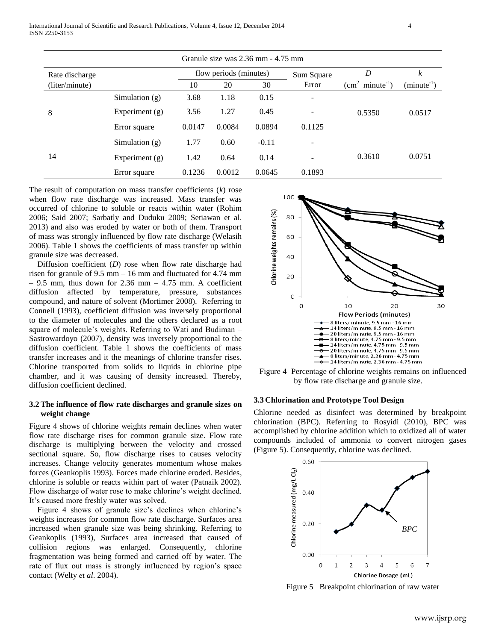| Granule size was 2.36 mm - 4.75 mm |                  |                        |        |         |                          |                  |                 |
|------------------------------------|------------------|------------------------|--------|---------|--------------------------|------------------|-----------------|
| Rate discharge                     |                  | flow periods (minutes) |        |         | Sum Square               | D                | k               |
| (liter/minute)                     |                  | 10                     | 20     | 30      | Error                    | $(cm2 minute-1)$ | $(minute^{-1})$ |
|                                    | Simulation $(g)$ | 3.68                   | 1.18   | 0.15    | $\qquad \qquad -$        |                  |                 |
| 8                                  | Experiment $(g)$ | 3.56                   | 1.27   | 0.45    | $\overline{a}$           | 0.5350           | 0.0517          |
|                                    | Error square     | 0.0147                 | 0.0084 | 0.0894  | 0.1125                   |                  |                 |
|                                    | Simulation $(g)$ | 1.77                   | 0.60   | $-0.11$ | $\overline{\phantom{a}}$ |                  |                 |
| 14                                 | Experiment $(g)$ | 1.42                   | 0.64   | 0.14    | $\overline{\phantom{0}}$ | 0.3610           | 0.0751          |
|                                    | Error square     | 0.1236                 | 0.0012 | 0.0645  | 0.1893                   |                  |                 |

The result of computation on mass transfer coefficients (*k*) rose when flow rate discharge was increased. Mass transfer was occurred of chlorine to soluble or reacts within water (Rohim 2006; Said 2007; Sarbatly and Duduku 2009; Setiawan et al. 2013) and also was eroded by water or both of them. Transport of mass was strongly influenced by flow rate discharge (Welasih 2006). Table 1 shows the coefficients of mass transfer up within granule size was decreased.

 Diffusion coefficient (*D*) rose when flow rate discharge had risen for granule of 9.5 mm – 16 mm and fluctuated for 4.74 mm  $-9.5$  mm, thus down for 2.36 mm  $-4.75$  mm. A coefficient diffusion affected by temperature, pressure, substances compound, and nature of solvent (Mortimer 2008). Referring to Connell (1993), coefficient diffusion was inversely proportional to the diameter of molecules and the others declared as a root square of molecule's weights. Referring to Wati and Budiman – Sastrowardoyo (2007), density was inversely proportional to the diffusion coefficient. Table 1 shows the coefficients of mass transfer increases and it the meanings of chlorine transfer rises. Chlorine transported from solids to liquids in chlorine pipe chamber, and it was causing of density increased. Thereby, diffusion coefficient declined.

## **3.2The influence of flow rate discharges and granule sizes on weight change**

Figure 4 shows of chlorine weights remain declines when water flow rate discharge rises for common granule size. Flow rate discharge is multiplying between the velocity and crossed sectional square. So, flow discharge rises to causes velocity increases. Change velocity generates momentum whose makes forces (Geankoplis 1993). Forces made chlorine eroded. Besides, chlorine is soluble or reacts within part of water (Patnaik 2002). Flow discharge of water rose to make chlorine's weight declined. It's caused more freshly water was solved.

 Figure 4 shows of granule size's declines when chlorine's weights increases for common flow rate discharge. Surfaces area increased when granule size was being shrinking. Referring to Geankoplis (1993), Surfaces area increased that caused of collision regions was enlarged. Consequently, chlorine fragmentation was being formed and carried off by water. The rate of flux out mass is strongly influenced by region's space contact (Welty *et al*. 2004).



Figure 4 Percentage of chlorine weights remains on influenced by flow rate discharge and granule size.

## **3.3 Chlorination and Prototype Tool Design**

Chlorine needed as disinfect was determined by breakpoint chlorination (BPC). Referring to Rosyidi (2010), BPC was accomplished by chlorine addition which to oxidized all of water compounds included of ammonia to convert nitrogen gases (Figure 5). Consequently, chlorine was declined.



Figure 5 Breakpoint chlorination of raw water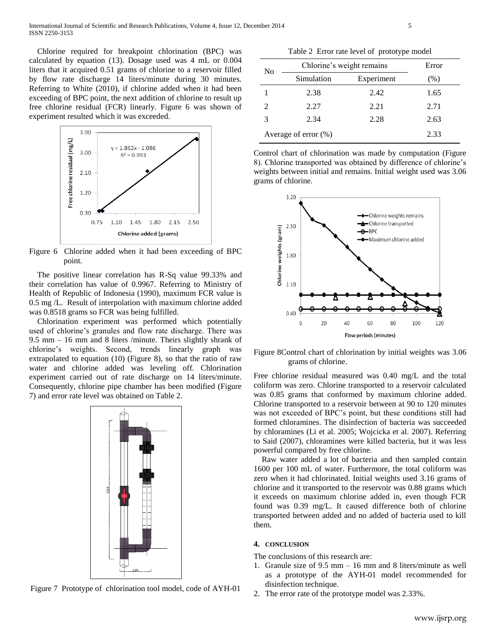Chlorine required for breakpoint chlorination (BPC) was calculated by equation (13). Dosage used was 4 mL or 0.004 liters that it acquired 0.51 grams of chlorine to a reservoir filled by flow rate discharge 14 liters/minute during 30 minutes. Referring to White (2010), if chlorine added when it had been exceeding of BPC point, the next addition of chlorine to result up free chlorine residual (FCR) linearly. Figure 6 was shown of experiment resulted which it was exceeded.



Figure 6 Chlorine added when it had been exceeding of BPC point.

 The positive linear correlation has R-Sq value 99.33% and their correlation has value of 0.9967. Referring to Ministry of Health of Republic of Indonesia (1990), maximum FCR value is 0.5 mg /L. Result of interpolation with maximum chlorine added was 0.8518 grams so FCR was being fulfilled.

 Chlorination experiment was performed which potentially used of chlorine's granules and flow rate discharge. There was 9.5 mm – 16 mm and 8 liters /minute. Theirs slightly shrank of chlorine's weights. Second, trends linearly graph was extrapolated to equation (10) (Figure 8), so that the ratio of raw water and chlorine added was leveling off. Chlorination experiment carried out of rate discharge on 14 liters/minute. Consequently, chlorine pipe chamber has been modified (Figure 7) and error rate level was obtained on Table 2.



Figure 7 Prototype of chlorination tool model, code of AYH-01

Table 2 Error rate level of prototype model

| No | Chlorine's weight remains | Error      |      |
|----|---------------------------|------------|------|
|    | Simulation                | Experiment | (% ) |
|    | 2.38                      | 2.42       | 1.65 |
|    | 2.27                      | 2.21       | 2.71 |
|    | 2.34                      | 2.28       | 2.63 |
|    | Average of error $(\%)$   | 2.33       |      |

Control chart of chlorination was made by computation (Figure 8). Chlorine transported was obtained by difference of chlorine's weights between initial and remains. Initial weight used was 3.06 grams of chlorine.



Figure 8Control chart of chlorination by initial weights was 3.06 grams of chlorine.

Free chlorine residual measured was 0.40 mg/L and the total coliform was zero. Chlorine transported to a reservoir calculated was 0.85 grams that conformed by maximum chlorine added. Chlorine transported to a reservoir between at 90 to 120 minutes was not exceeded of BPC's point, but these conditions still had formed chloramines. The disinfection of bacteria was succeeded by chloramines (Li et al. 2005; Wojcicka et al. 2007). Referring to Said (2007), chloramines were killed bacteria, but it was less powerful compared by free chlorine.

 Raw water added a lot of bacteria and then sampled contain 1600 per 100 mL of water. Furthermore, the total coliform was zero when it had chlorinated. Initial weights used 3.16 grams of chlorine and it transported to the reservoir was 0.88 grams which it exceeds on maximum chlorine added in, even though FCR found was 0.39 mg/L. It caused difference both of chlorine transported between added and no added of bacteria used to kill them.

#### **4. CONCLUSION**

The conclusions of this research are:

- 1. Granule size of 9.5 mm 16 mm and 8 liters/minute as well as a prototype of the AYH-01 model recommended for disinfection technique.
- 2. The error rate of the prototype model was 2.33%.